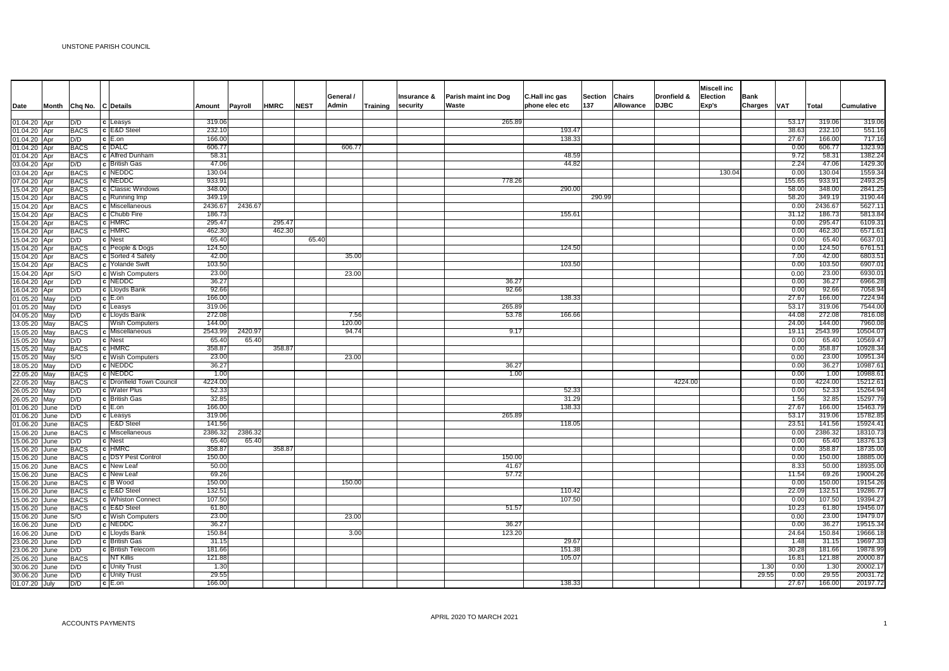|                                |      |                            |                                  |                  |         |             |             |           |                   |             |                      |                |         |           |             | <b>Miscell inc</b> |             |               |                  |                     |
|--------------------------------|------|----------------------------|----------------------------------|------------------|---------|-------------|-------------|-----------|-------------------|-------------|----------------------|----------------|---------|-----------|-------------|--------------------|-------------|---------------|------------------|---------------------|
|                                |      |                            |                                  |                  |         |             |             | General / |                   | Insurance & | Parish maint inc Dog | C.Hall inc gas | Section | Chairs    | Dronfield & | Election           | <b>Bank</b> |               |                  |                     |
| Date                           |      | Month Chq No. C Details    |                                  | Amount           | Payroll | <b>HMRC</b> | <b>NEST</b> | Admin     | Training security |             | Waste                | phone elec etc | 137     | Allowance | <b>DJBC</b> | Exp's              | Charges     | <b>VAT</b>    | <b>Total</b>     | Cumulative          |
| 01.04.20 Apr                   |      | D/D                        | c Leasys                         | 319.06           |         |             |             |           |                   |             | 265.8                |                |         |           |             |                    |             | 53.1          | 319.06           | 319.06              |
| 01.04.20 Apr                   |      | <b>BACS</b>                | c E&D Steel                      | 232.10           |         |             |             |           |                   |             |                      | 193.47         |         |           |             |                    |             | 38.63         | 232.10           | 551.16              |
| 01.04.20 Apr                   |      | D/D                        | $c$ E.on                         | 166.00           |         |             |             |           |                   |             |                      | 138.33         |         |           |             |                    |             | 27.67         | 166.00           | 717.16              |
| 01.04.20 Apr                   |      | BACS                       | c DALC                           | 606.77           |         |             |             | 606.77    |                   |             |                      |                |         |           |             |                    |             | 0.00          | 606.77           | 1323.93             |
| 01.04.20 Apr                   |      | <b>BACS</b>                | c Alfred Dunham                  | 58.31            |         |             |             |           |                   |             |                      | 48.59          |         |           |             |                    |             | 9.72          | 58.31            | 1382.24             |
| 03.04.20 Apr                   |      | D/D                        | c British Gas                    | 47.06            |         |             |             |           |                   |             |                      | 44.82          |         |           |             |                    |             | 2.24          | 47.06            | 1429.30             |
| 03.04.20 Apr                   |      | <b>BACS</b>                | c NEDDC                          | 130.04           |         |             |             |           |                   |             |                      |                |         |           |             | 130.04             |             | 0.00          | 130.04           | 1559.34             |
| 07.04.20 Apr                   |      | <b>BACS</b>                | c NEDDC                          | 933.91           |         |             |             |           |                   |             | 778.26               |                |         |           |             |                    |             | 155.65        | 933.91           | 2493.25             |
| 15.04.20 Apr                   |      | <b>BACS</b>                | c Classic Windows                | 348.00           |         |             |             |           |                   |             |                      | 290.00         |         |           |             |                    |             | 58.00         | 348.00           | 2841.25             |
| 15.04.20 Apr                   |      | <b>BACS</b>                | c Running Imp                    | 349.19           |         |             |             |           |                   |             |                      |                | 290.99  |           |             |                    |             | 58.20         | 349.19           | 3190.44             |
| 15.04.20 Apr                   |      | <b>BACS</b>                | c Miscellaneous                  | 2436.67          | 2436.67 |             |             |           |                   |             |                      |                |         |           |             |                    |             | 0.00          | 2436.67          | 5627.11             |
| 15.04.20 Apr                   |      | <b>BACS</b>                | c Chubb Fire                     | 186.73<br>295.47 |         | 295.4       |             |           |                   |             |                      | 155.6          |         |           |             |                    |             | 31.12<br>0.00 | 186.73<br>295.47 | 5813.84<br>6109.31  |
| 15.04.20 Apr<br>15.04.20 Apr   |      | <b>BACS</b><br><b>BACS</b> | $c$ HMRC<br>c HMRC               | 462.30           |         | 462.30      |             |           |                   |             |                      |                |         |           |             |                    |             | 0.00          | 462.30           | 6571.6              |
|                                |      | D/D                        | c Nest                           | 65.40            |         |             | 65.40       |           |                   |             |                      |                |         |           |             |                    |             | 0.00          | 65.40            | 6637.01             |
| 15.04.20 Apr<br>15.04.20 Apr   |      | <b>BACS</b>                | c People & Dogs                  | 124.50           |         |             |             |           |                   |             |                      | 124.50         |         |           |             |                    |             | 0.00          | 124.50           | 6761.51             |
| 15.04.20 Apr                   |      | <b>BACS</b>                | c Sorted 4 Safety                | 42.00            |         |             |             | 35.00     |                   |             |                      |                |         |           |             |                    |             | 7.00          | 42.00            | 6803.5              |
| 15.04.20 Apr                   |      | <b>BACS</b>                | c Yolande Swift                  | 103.50           |         |             |             |           |                   |             |                      | 103.50         |         |           |             |                    |             | 0.00          | 103.50           | 6907.0              |
| 15.04.20 Apr                   |      | S/O                        | c Wish Computers                 | 23.00            |         |             |             | 23.00     |                   |             |                      |                |         |           |             |                    |             | 0.00          | 23.00            | 6930.0              |
| 16.04.20 Apr                   |      | D/D                        | c NEDDC                          | 36.27            |         |             |             |           |                   |             | 36.2                 |                |         |           |             |                    |             | 0.00          | 36.27            | 6966.28             |
| 16.04.20 Apr                   |      | D/D                        | c Lloyds Bank                    | 92.66            |         |             |             |           |                   |             | 92.66                |                |         |           |             |                    |             | 0.00          | 92.66            | 7058.94             |
| 01.05.20 May                   |      | D/D                        | $c$ E.on                         | 166.00           |         |             |             |           |                   |             |                      | 138.33         |         |           |             |                    |             | 27.67         | 166.00           | 7224.94             |
| 01.05.20 May                   |      | D/D                        | c Leasys                         | 319.06           |         |             |             |           |                   |             | 265.8                |                |         |           |             |                    |             | 53.1          | 319.06           | 7544.00             |
| 04.05.20 May                   |      | D/D                        | c Lloyds Bank                    | 272.08           |         |             |             | 7.56      |                   |             | 53.78                | 166.66         |         |           |             |                    |             | 44.08         | 272.08           | 7816.08             |
| 13.05.20 May                   |      | <b>BACS</b>                | <b>Wish Computers</b>            | 144.00           |         |             |             | 120.00    |                   |             |                      |                |         |           |             |                    |             | 24.00         | 144.00           | 7960.08             |
| 15.05.20 May                   |      | <b>BACS</b>                | c Miscellaneous                  | 2543.99          | 2420.97 |             |             | 94.74     |                   |             | 9.17                 |                |         |           |             |                    |             | 19.1          | 2543.99          | 10504.07            |
| 15.05.20 May                   |      | D/D                        | c Nest                           | 65.40            | 65.40   |             |             |           |                   |             |                      |                |         |           |             |                    |             | 0.00          | 65.40            | 10569.47            |
| 15.05.20 May                   |      | <b>BACS</b>                | c HMRC                           | 358.87           |         | 358.8       |             |           |                   |             |                      |                |         |           |             |                    |             | 0.00          | 358.87           | 10928.34            |
| 15.05.20 May                   |      | S/O                        | c Wish Computers                 | 23.00            |         |             |             | 23.00     |                   |             |                      |                |         |           |             |                    |             | 0.00          | 23.00            | 10951.34            |
| 18.05.20 May                   |      | D/D                        | c NEDDC                          | 36.27            |         |             |             |           |                   |             | 36.27                |                |         |           |             |                    |             | 0.00          | 36.27            | 10987.6             |
| 22.05.20 May                   |      | <b>BACS</b>                | c NEDDC                          | 1.00             |         |             |             |           |                   |             | 1.00                 |                |         |           |             |                    |             | 0.00          | 1.00             | 10988.6             |
| 22.05.20 May                   |      | <b>BACS</b>                | c Dronfield Town Council         | 4224.00          |         |             |             |           |                   |             |                      |                |         |           | 4224.00     |                    |             | 0.00          | 4224.00          | 15212.6             |
| 26.05.20 May                   |      | D/D                        | c   Water Plus                   | 52.33            |         |             |             |           |                   |             |                      | 52.33          |         |           |             |                    |             | 0.00          | 52.33            | 15264.94            |
| 26.05.20 May                   |      | D/D                        | c British Gas                    | 32.85<br>166.00  |         |             |             |           |                   |             |                      | 31.29          |         |           |             |                    |             | 1.56<br>27.67 | 32.85            | 15297.7             |
| 01.06.20 June                  |      | D/D                        | $c$ E.on                         | 319.06           |         |             |             |           |                   |             | 265.8                | 138.33         |         |           |             |                    |             | 53.1          | 166.00<br>319.06 | 15463.7<br>15782.85 |
| 01.06.20 June<br>01.06.20 June |      | D/D<br><b>BACS</b>         | c Leasys<br><b>E&amp;D</b> Steel | 141.56           |         |             |             |           |                   |             |                      | 118.05         |         |           |             |                    |             | 23.51         | 141.56           | 15924.4             |
| 15.06.20                       | June | <b>BACS</b>                | c Miscellaneous                  | 2386.32          | 2386.32 |             |             |           |                   |             |                      |                |         |           |             |                    |             | 0.00          | 2386.32          | 18310.73            |
| 15.06.20                       | June | D/D                        | c Nest                           | 65.40            | 65.40   |             |             |           |                   |             |                      |                |         |           |             |                    |             | 0.00          | 65.40            | 18376.1             |
| 5.06.20                        | June | <b>BACS</b>                | $c$ HMRC                         | 358.87           |         | 358.8       |             |           |                   |             |                      |                |         |           |             |                    |             | 0.00          | 358.87           | 18735.00            |
| 5.06.20                        | June | <b>BACS</b>                | c DSY Pest Control               | 150.00           |         |             |             |           |                   |             | 150.0                |                |         |           |             |                    |             | 0.00          | 150.00           | 18885.00            |
| 15.06.20                       | June | <b>BACS</b>                | c New Leaf                       | 50.00            |         |             |             |           |                   |             | 41.6                 |                |         |           |             |                    |             | 8.33          | 50.00            | 18935.00            |
| 15.06.20                       | June | <b>BACS</b>                | c New Leaf                       | 69.26            |         |             |             |           |                   |             | 57.72                |                |         |           |             |                    |             | 11.54         | 69.26            | 19004.26            |
| 15.06.20 June                  |      | <b>BACS</b>                | c B Wood                         | 150.00           |         |             |             | 150.00    |                   |             |                      |                |         |           |             |                    |             | 0.00          | 150.00           | 19154.26            |
| 15.06.20                       | June | <b>BACS</b>                | c E&D Steel                      | 132.51           |         |             |             |           |                   |             |                      | 110.42         |         |           |             |                    |             | 22.09         | 132.51           | 19286.7             |
| 5.06.20 June                   |      | BACS                       | c Whiston Connect                | 107.50           |         |             |             |           |                   |             |                      | 107.50         |         |           |             |                    |             | 0.00          | 107.50           | 19394.27            |
| 15.06.20 June                  |      | <b>BACS</b>                | c E&D Steel                      | 61.80            |         |             |             |           |                   |             | 51.57                |                |         |           |             |                    |             | 10.23         | 61.80            | 19456.07            |
| 15.06.20 June                  |      | S/O                        | c Wish Computers                 | 23.00            |         |             |             | 23.00     |                   |             |                      |                |         |           |             |                    |             | 0.00          | 23.00            | 19479.07            |
| 16.06.20                       | June | D/D                        | c NEDDC                          | 36.27            |         |             |             |           |                   |             | 36.27                |                |         |           |             |                    |             | 0.00          | 36.27            | 19515.34            |
| 16.06.20                       | June | D/D                        | c Lloyds Bank                    | 150.84           |         |             |             | 3.00      |                   |             | 123.20               |                |         |           |             |                    |             | 24.64         | 150.84           | 19666.1             |
| 23.06.20                       | June | D/D                        | c British Gas                    | 31.15            |         |             |             |           |                   |             |                      | 29.67          |         |           |             |                    |             | 1.48          | 31.15            | 19697.33            |
| 23.06.20                       | June | D/D                        | c British Telecom                | 181.66           |         |             |             |           |                   |             |                      | 151.38         |         |           |             |                    |             | 30.28         | 181.66           | 19878.99            |
| 25.06.20                       | June | <b>BACS</b>                | NT Killis                        | 121.88           |         |             |             |           |                   |             |                      | 105.07         |         |           |             |                    |             | 16.8          | 121.88           | 20000.87            |
| 30.06.20                       | June | D/D                        | c Unity Trust                    | 1.30             |         |             |             |           |                   |             |                      |                |         |           |             |                    | 1.30        | 0.00          | 1.30             | 20002.17            |
| 30.06.20 June                  |      | D/D                        | c Unity Trust                    | 29.55            |         |             |             |           |                   |             |                      |                |         |           |             |                    | 29.55       | 0.00          | 29.55            | 20031.72            |
| 01.07.20 July                  |      | D/D                        | $ c $ E.on                       | 166.00           |         |             |             |           |                   |             |                      | 138.33         |         |           |             |                    |             | 27.67         | 166.00           | 20197.72            |